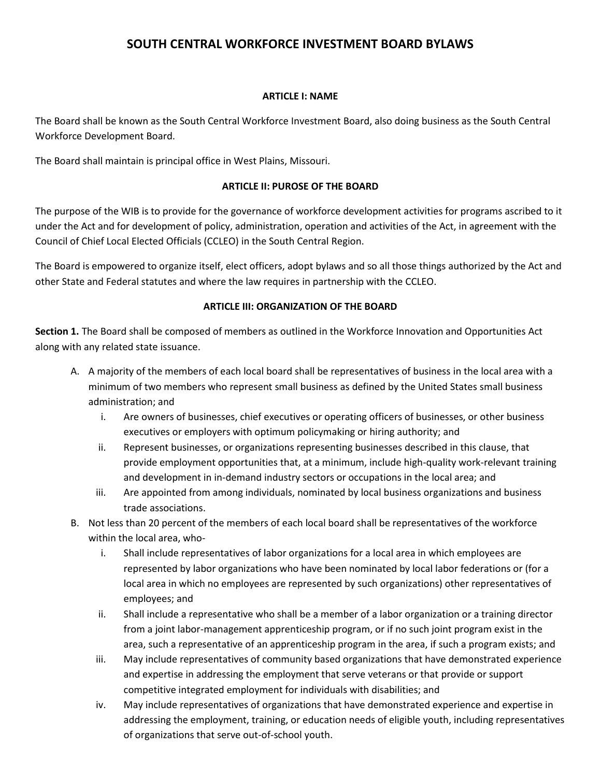# **SOUTH CENTRAL WORKFORCE INVESTMENT BOARD BYLAWS**

## **ARTICLE I: NAME**

The Board shall be known as the South Central Workforce Investment Board, also doing business as the South Central Workforce Development Board.

The Board shall maintain is principal office in West Plains, Missouri.

## **ARTICLE II: PUROSE OF THE BOARD**

The purpose of the WIB is to provide for the governance of workforce development activities for programs ascribed to it under the Act and for development of policy, administration, operation and activities of the Act, in agreement with the Council of Chief Local Elected Officials (CCLEO) in the South Central Region.

The Board is empowered to organize itself, elect officers, adopt bylaws and so all those things authorized by the Act and other State and Federal statutes and where the law requires in partnership with the CCLEO.

## **ARTICLE III: ORGANIZATION OF THE BOARD**

**Section 1.** The Board shall be composed of members as outlined in the Workforce Innovation and Opportunities Act along with any related state issuance.

- A. A majority of the members of each local board shall be representatives of business in the local area with a minimum of two members who represent small business as defined by the United States small business administration; and
	- i. Are owners of businesses, chief executives or operating officers of businesses, or other business executives or employers with optimum policymaking or hiring authority; and
	- ii. Represent businesses, or organizations representing businesses described in this clause, that provide employment opportunities that, at a minimum, include high-quality work-relevant training and development in in-demand industry sectors or occupations in the local area; and
	- iii. Are appointed from among individuals, nominated by local business organizations and business trade associations.
- B. Not less than 20 percent of the members of each local board shall be representatives of the workforce within the local area, who
	- i. Shall include representatives of labor organizations for a local area in which employees are represented by labor organizations who have been nominated by local labor federations or (for a local area in which no employees are represented by such organizations) other representatives of employees; and
	- ii. Shall include a representative who shall be a member of a labor organization or a training director from a joint labor-management apprenticeship program, or if no such joint program exist in the area, such a representative of an apprenticeship program in the area, if such a program exists; and
	- iii. May include representatives of community based organizations that have demonstrated experience and expertise in addressing the employment that serve veterans or that provide or support competitive integrated employment for individuals with disabilities; and
	- iv. May include representatives of organizations that have demonstrated experience and expertise in addressing the employment, training, or education needs of eligible youth, including representatives of organizations that serve out-of-school youth.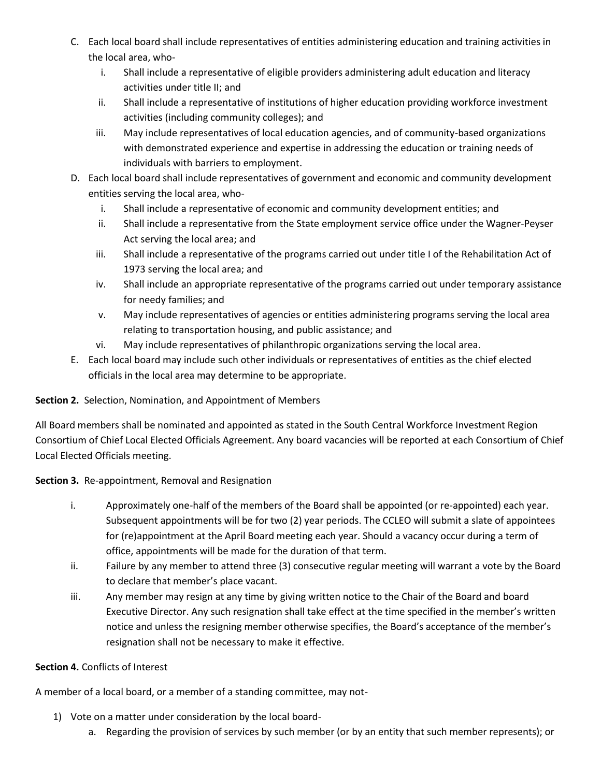- C. Each local board shall include representatives of entities administering education and training activities in the local area, who
	- i. Shall include a representative of eligible providers administering adult education and literacy activities under title II; and
	- ii. Shall include a representative of institutions of higher education providing workforce investment activities (including community colleges); and
	- iii. May include representatives of local education agencies, and of community-based organizations with demonstrated experience and expertise in addressing the education or training needs of individuals with barriers to employment.
- D. Each local board shall include representatives of government and economic and community development entities serving the local area, who
	- i. Shall include a representative of economic and community development entities; and
	- ii. Shall include a representative from the State employment service office under the Wagner-Peyser Act serving the local area; and
	- iii. Shall include a representative of the programs carried out under title I of the Rehabilitation Act of 1973 serving the local area; and
	- iv. Shall include an appropriate representative of the programs carried out under temporary assistance for needy families; and
	- v. May include representatives of agencies or entities administering programs serving the local area relating to transportation housing, and public assistance; and
	- vi. May include representatives of philanthropic organizations serving the local area.
- E. Each local board may include such other individuals or representatives of entities as the chief elected officials in the local area may determine to be appropriate.

# **Section 2.** Selection, Nomination, and Appointment of Members

All Board members shall be nominated and appointed as stated in the South Central Workforce Investment Region Consortium of Chief Local Elected Officials Agreement. Any board vacancies will be reported at each Consortium of Chief Local Elected Officials meeting.

**Section 3.** Re-appointment, Removal and Resignation

- i. Approximately one-half of the members of the Board shall be appointed (or re-appointed) each year. Subsequent appointments will be for two (2) year periods. The CCLEO will submit a slate of appointees for (re)appointment at the April Board meeting each year. Should a vacancy occur during a term of office, appointments will be made for the duration of that term.
- ii. Failure by any member to attend three (3) consecutive regular meeting will warrant a vote by the Board to declare that member's place vacant.
- iii. Any member may resign at any time by giving written notice to the Chair of the Board and board Executive Director. Any such resignation shall take effect at the time specified in the member's written notice and unless the resigning member otherwise specifies, the Board's acceptance of the member's resignation shall not be necessary to make it effective.

## **Section 4.** Conflicts of Interest

A member of a local board, or a member of a standing committee, may not-

- 1) Vote on a matter under consideration by the local board
	- a. Regarding the provision of services by such member (or by an entity that such member represents); or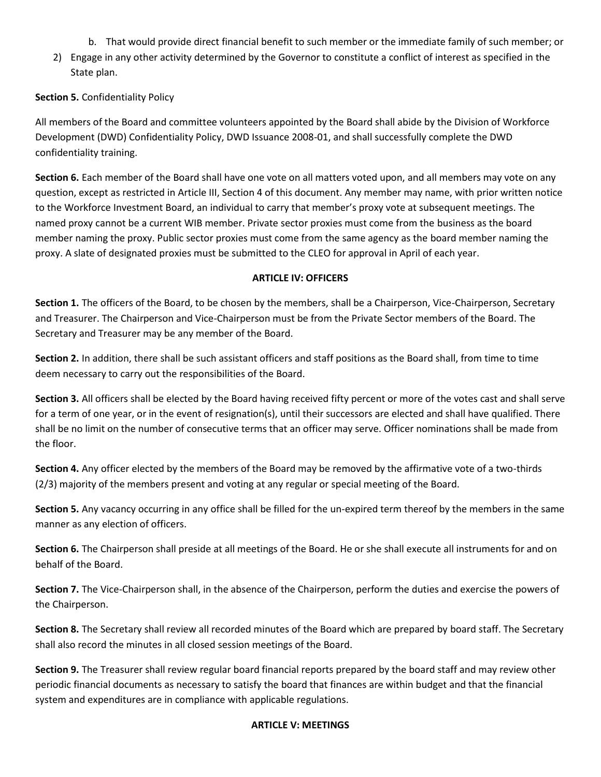- b. That would provide direct financial benefit to such member or the immediate family of such member; or
- 2) Engage in any other activity determined by the Governor to constitute a conflict of interest as specified in the State plan.

## **Section 5.** Confidentiality Policy

All members of the Board and committee volunteers appointed by the Board shall abide by the Division of Workforce Development (DWD) Confidentiality Policy, DWD Issuance 2008-01, and shall successfully complete the DWD confidentiality training.

**Section 6.** Each member of the Board shall have one vote on all matters voted upon, and all members may vote on any question, except as restricted in Article III, Section 4 of this document. Any member may name, with prior written notice to the Workforce Investment Board, an individual to carry that member's proxy vote at subsequent meetings. The named proxy cannot be a current WIB member. Private sector proxies must come from the business as the board member naming the proxy. Public sector proxies must come from the same agency as the board member naming the proxy. A slate of designated proxies must be submitted to the CLEO for approval in April of each year.

#### **ARTICLE IV: OFFICERS**

**Section 1.** The officers of the Board, to be chosen by the members, shall be a Chairperson, Vice-Chairperson, Secretary and Treasurer. The Chairperson and Vice-Chairperson must be from the Private Sector members of the Board. The Secretary and Treasurer may be any member of the Board.

**Section 2.** In addition, there shall be such assistant officers and staff positions as the Board shall, from time to time deem necessary to carry out the responsibilities of the Board.

**Section 3.** All officers shall be elected by the Board having received fifty percent or more of the votes cast and shall serve for a term of one year, or in the event of resignation(s), until their successors are elected and shall have qualified. There shall be no limit on the number of consecutive terms that an officer may serve. Officer nominations shall be made from the floor.

**Section 4.** Any officer elected by the members of the Board may be removed by the affirmative vote of a two-thirds (2/3) majority of the members present and voting at any regular or special meeting of the Board.

**Section 5.** Any vacancy occurring in any office shall be filled for the un-expired term thereof by the members in the same manner as any election of officers.

**Section 6.** The Chairperson shall preside at all meetings of the Board. He or she shall execute all instruments for and on behalf of the Board.

**Section 7.** The Vice-Chairperson shall, in the absence of the Chairperson, perform the duties and exercise the powers of the Chairperson.

**Section 8.** The Secretary shall review all recorded minutes of the Board which are prepared by board staff. The Secretary shall also record the minutes in all closed session meetings of the Board.

**Section 9.** The Treasurer shall review regular board financial reports prepared by the board staff and may review other periodic financial documents as necessary to satisfy the board that finances are within budget and that the financial system and expenditures are in compliance with applicable regulations.

#### **ARTICLE V: MEETINGS**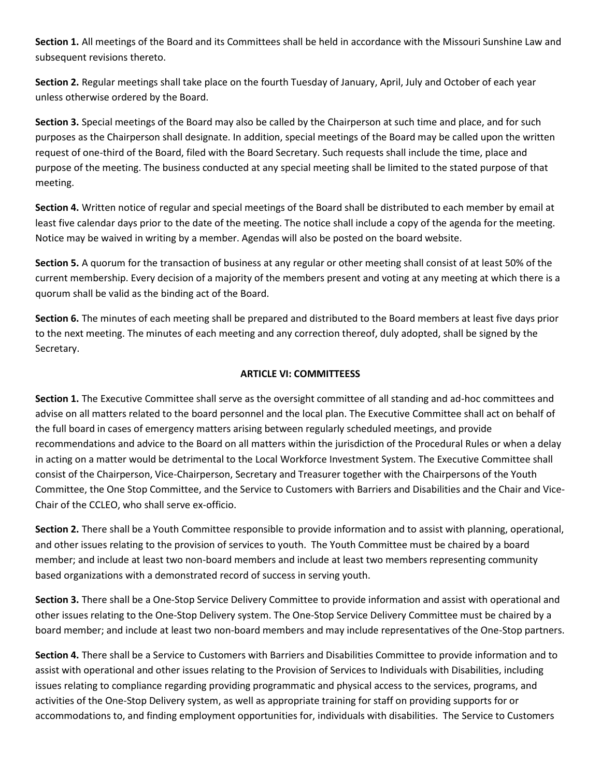**Section 1.** All meetings of the Board and its Committees shall be held in accordance with the Missouri Sunshine Law and subsequent revisions thereto.

**Section 2.** Regular meetings shall take place on the fourth Tuesday of January, April, July and October of each year unless otherwise ordered by the Board.

**Section 3.** Special meetings of the Board may also be called by the Chairperson at such time and place, and for such purposes as the Chairperson shall designate. In addition, special meetings of the Board may be called upon the written request of one-third of the Board, filed with the Board Secretary. Such requests shall include the time, place and purpose of the meeting. The business conducted at any special meeting shall be limited to the stated purpose of that meeting.

**Section 4.** Written notice of regular and special meetings of the Board shall be distributed to each member by email at least five calendar days prior to the date of the meeting. The notice shall include a copy of the agenda for the meeting. Notice may be waived in writing by a member. Agendas will also be posted on the board website.

**Section 5.** A quorum for the transaction of business at any regular or other meeting shall consist of at least 50% of the current membership. Every decision of a majority of the members present and voting at any meeting at which there is a quorum shall be valid as the binding act of the Board.

**Section 6.** The minutes of each meeting shall be prepared and distributed to the Board members at least five days prior to the next meeting. The minutes of each meeting and any correction thereof, duly adopted, shall be signed by the Secretary.

## **ARTICLE VI: COMMITTEESS**

**Section 1.** The Executive Committee shall serve as the oversight committee of all standing and ad-hoc committees and advise on all matters related to the board personnel and the local plan. The Executive Committee shall act on behalf of the full board in cases of emergency matters arising between regularly scheduled meetings, and provide recommendations and advice to the Board on all matters within the jurisdiction of the Procedural Rules or when a delay in acting on a matter would be detrimental to the Local Workforce Investment System. The Executive Committee shall consist of the Chairperson, Vice-Chairperson, Secretary and Treasurer together with the Chairpersons of the Youth Committee, the One Stop Committee, and the Service to Customers with Barriers and Disabilities and the Chair and Vice-Chair of the CCLEO, who shall serve ex-officio.

**Section 2.** There shall be a Youth Committee responsible to provide information and to assist with planning, operational, and other issues relating to the provision of services to youth. The Youth Committee must be chaired by a board member; and include at least two non-board members and include at least two members representing community based organizations with a demonstrated record of success in serving youth.

**Section 3.** There shall be a One-Stop Service Delivery Committee to provide information and assist with operational and other issues relating to the One-Stop Delivery system. The One-Stop Service Delivery Committee must be chaired by a board member; and include at least two non-board members and may include representatives of the One-Stop partners.

**Section 4.** There shall be a Service to Customers with Barriers and Disabilities Committee to provide information and to assist with operational and other issues relating to the Provision of Services to Individuals with Disabilities, including issues relating to compliance regarding providing programmatic and physical access to the services, programs, and activities of the One-Stop Delivery system, as well as appropriate training for staff on providing supports for or accommodations to, and finding employment opportunities for, individuals with disabilities. The Service to Customers